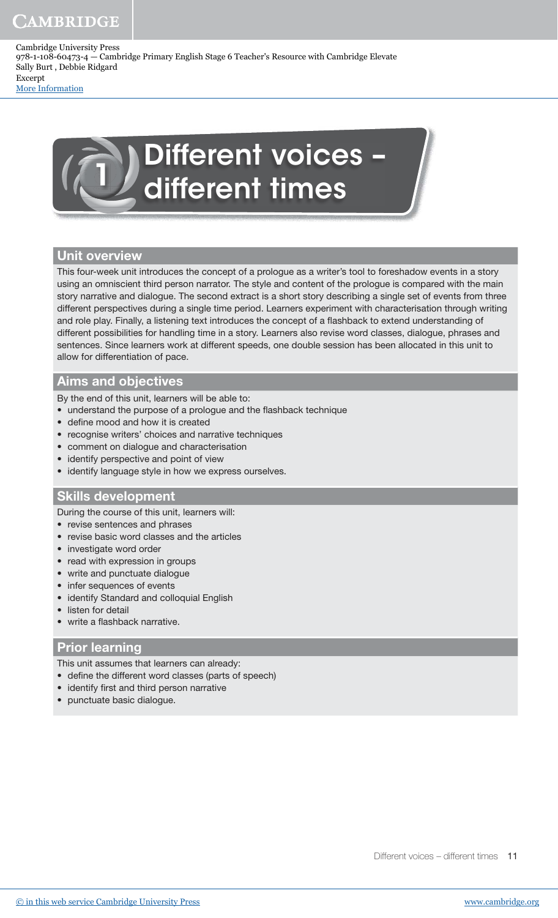> Different voices – different times

## Unit overview

This four-week unit introduces the concept of a prologue as a writer's tool to foreshadow events in a story using an omniscient third person narrator. The style and content of the prologue is compared with the main story narrative and dialogue. The second extract is a short story describing a single set of events from three different perspectives during a single time period. Learners experiment with characterisation through writing and role play. Finally, a listening text introduces the concept of a flashback to extend understanding of different possibilities for handling time in a story. Learners also revise word classes, dialogue, phrases and sentences. Since learners work at different speeds, one double session has been allocated in this unit to allow for differentiation of pace.

## Aims and objectives

By the end of this unit, learners will be able to:

- understand the purpose of a prologue and the flashback technique
- define mood and how it is created
- recognise writers' choices and narrative techniques
- comment on dialogue and characterisation
- identify perspective and point of view
- identify language style in how we express ourselves.

### Skills development

During the course of this unit, learners will:

- revise sentences and phrases
- revise basic word classes and the articles
- investigate word order
- read with expression in groups
- write and punctuate dialogue
- infer sequences of events
- identify Standard and colloquial English
- listen for detail
- write a flashback narrative.

### Prior learning

This unit assumes that learners can already:

- define the different word classes (parts of speech)
- identify first and third person narrative
- punctuate basic dialogue.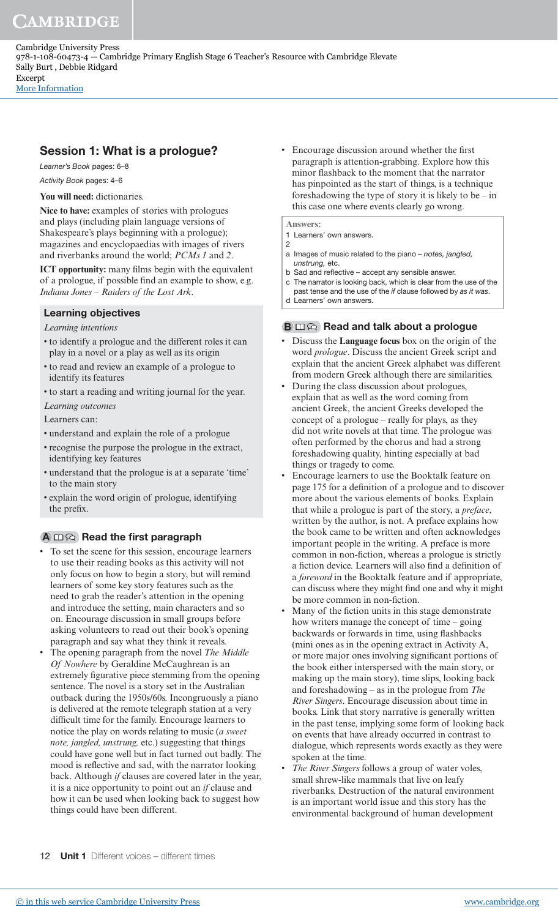# Session 1: What is a prologue?

Learner's Book pages: 6–8

Activity Book pages: 4–6

## **You will need:** dictionaries.

**Nice to have:** examples of stories with prologues and plays (including plain language versions of Shakespeare's plays beginning with a prologue); magazines and encyclopaedias with images of rivers and riverbanks around the world; *PCMs 1* and *2*.

**ICT opportunity:** many films begin with the equivalent of a prologue, if possible find an example to show, e.g. *Indiana Jones* – *Raiders of the Lost Ark*.

## Learning objectives

## *Learning intentions*

- to identify a prologue and the different roles it can play in a novel or a play as well as its origin
- to read and review an example of a prologue to identify its features
- to start a reading and writing journal for the year.

## *Learning outcomes*

Learners can:

- understand and explain the role of a prologue
- recognise the purpose the prologue in the extract, identifying key features
- understand that the prologue is at a separate 'time' to the main story
- explain the word origin of prologue, identifying the prefix.

# $A \n \Box \n \odot$  Read the first paragraph

- To set the scene for this session, encourage learners to use their reading books as this activity will not only focus on how to begin a story, but will remind learners of some key story features such as the need to grab the reader's attention in the opening and introduce the setting, main characters and so on. Encourage discussion in small groups before asking volunteers to read out their book's opening paragraph and say what they think it reveals.
- The opening paragraph from the novel *The Middle Of Nowhere* by Geraldine McCaughrean is an extremely figurative piece stemming from the opening sentence. The novel is a story set in the Australian outback during the 1950s/60s. Incongruously a piano is delivered at the remote telegraph station at a very dificult time for the family. Encourage learners to notice the play on words relating to music (*a sweet note, jangled, unstrung,* etc.) suggesting that things could have gone well but in fact turned out badly. The mood is reflective and sad, with the narrator looking back. Although *if* clauses are covered later in the year, it is a nice opportunity to point out an *if* clause and how it can be used when looking back to suggest how things could have been different.

• Encourage discussion around whether the first paragraph is attention-grabbing. Explore how this minor lashback to the moment that the narrator has pinpointed as the start of things, is a technique foreshadowing the type of story it is likely to be – in this case one where events clearly go wrong.

### **Answers:**

- 1 Learners' own answers.  $\overline{c}$
- a Images of music related to the piano notes, jangled, unstrung, etc.
- b Sad and reflective accept any sensible answer.
- c The narrator is looking back, which is clear from the use of the past tense and the use of the *if* clause followed by as *it was*.
- d Learners' own answers.

## $\mathbf{B} \square \ \widehat{\triangle}$  Read and talk about a prologue

- Discuss the **Language focus** box on the origin of the word *prologue*. Discuss the ancient Greek script and explain that the ancient Greek alphabet was different from modern Greek although there are similarities.
- During the class discussion about prologues, explain that as well as the word coming from ancient Greek, the ancient Greeks developed the concept of a prologue – really for plays, as they did not write novels at that time. The prologue was often performed by the chorus and had a strong foreshadowing quality, hinting especially at bad things or tragedy to come.
- Encourage learners to use the Booktalk feature on page 175 for a definition of a prologue and to discover more about the various elements of books. Explain that while a prologue is part of the story, a *preface*, written by the author, is not. A preface explains how the book came to be written and often acknowledges important people in the writing. A preface is more common in non-fiction, whereas a prologue is strictly a fiction device. Learners will also find a definition of a *foreword* in the Booktalk feature and if appropriate, can discuss where they might find one and why it might be more common in non-fiction.
- Many of the fiction units in this stage demonstrate how writers manage the concept of time – going backwards or forwards in time, using flashbacks (mini ones as in the opening extract in Activity A, or more major ones involving significant portions of the book either interspersed with the main story, or making up the main story), time slips, looking back and foreshadowing – as in the prologue from *The River Singers*. Encourage discussion about time in books. Link that story narrative is generally written in the past tense, implying some form of looking back on events that have already occurred in contrast to dialogue, which represents words exactly as they were spoken at the time.
- *The River Singers* follows a group of water voles, small shrew-like mammals that live on leafy riverbanks. Destruction of the natural environment is an important world issue and this story has the environmental background of human development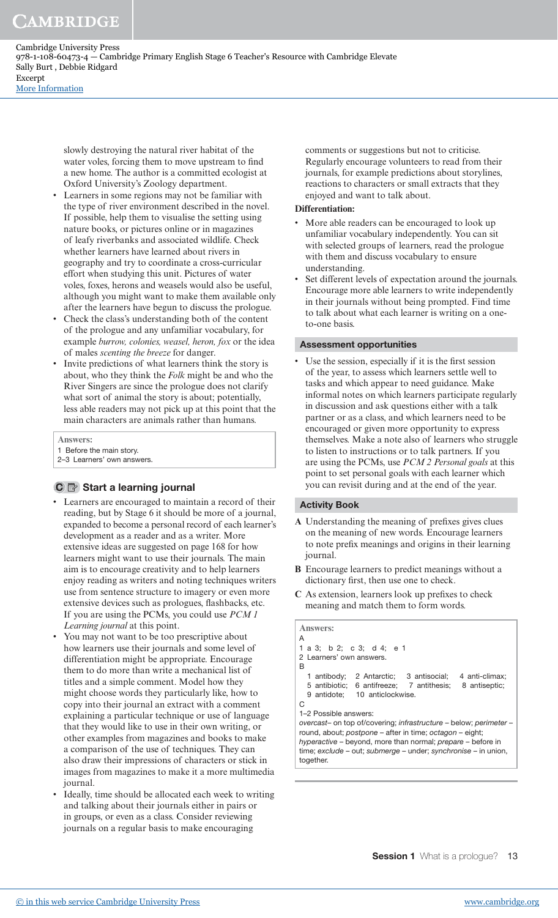> slowly destroying the natural river habitat of the water voles, forcing them to move upstream to find a new home. The author is a committed ecologist at Oxford University's Zoology department.

- Learners in some regions may not be familiar with the type of river environment described in the novel. If possible, help them to visualise the setting using nature books, or pictures online or in magazines of leafy riverbanks and associated wildlife. Check whether learners have learned about rivers in geography and try to coordinate a cross-curricular effort when studying this unit. Pictures of water voles, foxes, herons and weasels would also be useful, although you might want to make them available only after the learners have begun to discuss the prologue.
- Check the class's understanding both of the content of the prologue and any unfamiliar vocabulary, for example *burrow, colonies, weasel, heron, fox* or the idea of males *scenting the breeze* for danger.
- Invite predictions of what learners think the story is about, who they think the *Folk* might be and who the River Singers are since the prologue does not clarify what sort of animal the story is about; potentially, less able readers may not pick up at this point that the main characters are animals rather than humans.

**Answers:**

- 1 Before the main story.
- 2–3 Learners' own answers.

## $\mathbf{C} \equiv \mathbf{S}$  Start a learning journal

- Learners are encouraged to maintain a record of their reading, but by Stage 6 it should be more of a journal, expanded to become a personal record of each learner's development as a reader and as a writer. More extensive ideas are suggested on page 168 for how learners might want to use their journals. The main aim is to encourage creativity and to help learners enjoy reading as writers and noting techniques writers use from sentence structure to imagery or even more extensive devices such as prologues, flashbacks, etc. If you are using the PCMs, you could use *PCM 1 Learning journal* at this point.
- You may not want to be too prescriptive about how learners use their journals and some level of differentiation might be appropriate. Encourage them to do more than write a mechanical list of titles and a simple comment. Model how they might choose words they particularly like, how to copy into their journal an extract with a comment explaining a particular technique or use of language that they would like to use in their own writing, or other examples from magazines and books to make a comparison of the use of techniques. They can also draw their impressions of characters or stick in images from magazines to make it a more multimedia journal.
- Ideally, time should be allocated each week to writing and talking about their journals either in pairs or in groups, or even as a class. Consider reviewing journals on a regular basis to make encouraging

comments or suggestions but not to criticise. Regularly encourage volunteers to read from their journals, for example predictions about storylines, reactions to characters or small extracts that they enjoyed and want to talk about.

#### **Differentiation:**

- More able readers can be encouraged to look up unfamiliar vocabulary independently. You can sit with selected groups of learners, read the prologue with them and discuss vocabulary to ensure understanding.
- Set different levels of expectation around the journals. Encourage more able learners to write independently in their journals without being prompted. Find time to talk about what each learner is writing on a oneto-one basis.

#### Assessment opportunities

Use the session, especially if it is the first session of the year, to assess which learners settle well to tasks and which appear to need guidance. Make informal notes on which learners participate regularly in discussion and ask questions either with a talk partner or as a class, and which learners need to be encouraged or given more opportunity to express themselves. Make a note also of learners who struggle to listen to instructions or to talk partners. If you are using the PCMs, use *PCM 2 Personal goals* at this point to set personal goals with each learner which you can revisit during and at the end of the year.

### Activity Book

- A Understanding the meaning of prefixes gives clues on the meaning of new words. Encourage learners to note prefix meanings and origins in their learning journal.
- **B** Encourage learners to predict meanings without a dictionary first, then use one to check.
- **C** As extension, learners look up preixes to check meaning and match them to form words.

# **Answers:**

```
A
1 a 3; b 2; c 3; d 4; e 1
2 Learners' own answers.
B
   1 antibody; 2 Antarctic; 3 antisocial; 4 anti-climax; 
  5 antibiotic; 6 antifreeze; 7 antithesis; 8 antiseptic; 
  9 antidote; 10 anticlockwise.
C
1–2 Possible answers:
overcast– on top of/covering; infrastructure – below; perimeter – 
round, about; postpone – after in time; octagon – eight; 
hyperactive – beyond, more than normal; prepare – before in
time; exclude – out; submerge – under; synchronise – in union, 
together.
```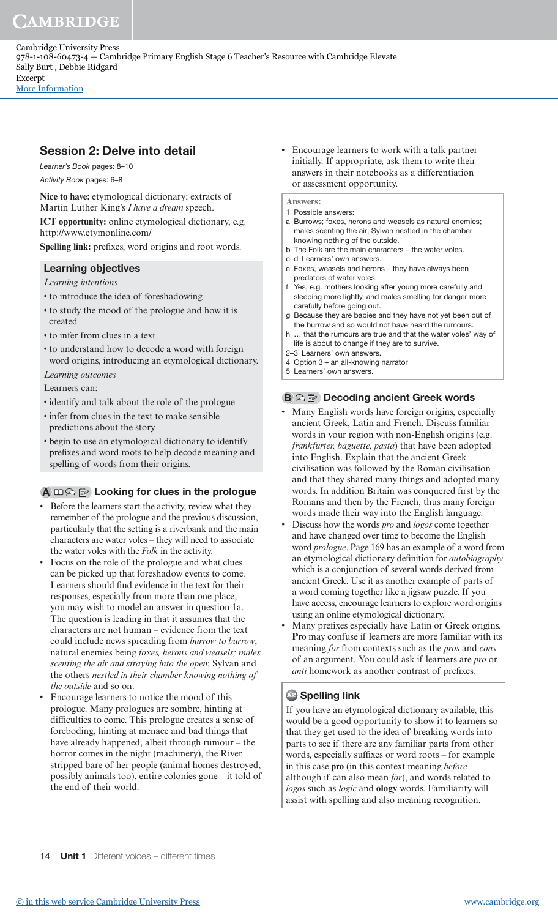Session 2: Delve into detail

Learner's Book pages: 8–10 Activity Book pages: 6–8

**Nice to have:** etymological dictionary; extracts of Martin Luther King's *I have a dream* speech.

**ICT opportunity:** online etymological dictionary, e.g. http://www.etymonline.com/

Spelling link: prefixes, word origins and root words.

## Learning objectives

*Learning intentions*

- to introduce the idea of foreshadowing
- to study the mood of the prologue and how it is created
- to infer from clues in a text
- to understand how to decode a word with foreign word origins, introducing an etymological dictionary.

*Learning outcomes*

Learners can:

- identify and talk about the role of the prologue
- infer from clues in the text to make sensible predictions about the story
- begin to use an etymological dictionary to identify prefixes and word roots to help decode meaning and spelling of words from their origins.

## $\mathbf{A} \square \bigotimes \mathbb{B}$  Looking for clues in the prologue

- Before the learners start the activity, review what they remember of the prologue and the previous discussion, particularly that the setting is a riverbank and the main characters are water voles – they will need to associate the water voles with the *Folk* in the activity.
- Focus on the role of the prologue and what clues can be picked up that foreshadow events to come. Learners should find evidence in the text for their responses, especially from more than one place; you may wish to model an answer in question 1a. The question is leading in that it assumes that the characters are not human – evidence from the text could include news spreading from *burrow to burrow*; natural enemies being *foxes, herons and weasels; males scenting the air and straying into the open*; Sylvan and the others *nestled in their chamber knowing nothing of the outside* and so on.
- Encourage learners to notice the mood of this prologue. Many prologues are sombre, hinting at dificulties to come. This prologue creates a sense of foreboding, hinting at menace and bad things that have already happened, albeit through rumour – the horror comes in the night (machinery), the River stripped bare of her people (animal homes destroyed, possibly animals too), entire colonies gone – it told of the end of their world.

• Encourage learners to work with a talk partner initially. If appropriate, ask them to write their answers in their notebooks as a differentiation or assessment opportunity.

### **Answers:**

- 1 Possible answers:
- a Burrows; foxes, herons and weasels as natural enemies; males scenting the air; Sylvan nestled in the chamber knowing nothing of the outside.
- b The Folk are the main characters the water voles.
- c–d Learners' own answers.
- e Foxes, weasels and herons they have always been predators of water voles.
- Yes, e.g. mothers looking after young more carefully and sleeping more lightly, and males smelling for danger more carefully before going out.
- g Because they are babies and they have not yet been out of the burrow and so would not have heard the rumours.
- h … that the rumours are true and that the water voles' way of life is about to change if they are to survive.
- 2–3 Learners' own answers.
- 4 Option 3 an all-knowing narrator 5 Learners' own answers.

## **B Q P** Decoding ancient Greek words

- Many English words have foreign origins, especially ancient Greek, Latin and French. Discuss familiar words in your region with non-English origins (e.g. *frankfurter, baguette, pasta*) that have been adopted into English. Explain that the ancient Greek civilisation was followed by the Roman civilisation and that they shared many things and adopted many words. In addition Britain was conquered first by the Romans and then by the French, thus many foreign words made their way into the English language.
- Discuss how the words *pro* and *logos* come together and have changed over time to become the English word *prologue*. Page 169 has an example of a word from an etymological dictionary deinition for *autobiography* which is a conjunction of several words derived from ancient Greek. Use it as another example of parts of a word coming together like a jigsaw puzzle. If you have access, encourage learners to explore word origins using an online etymological dictionary.
- Many prefixes especially have Latin or Greek origins. **Pro** may confuse if learners are more familiar with its meaning *for* from contexts such as the *pros* and *cons* of an argument. You could ask if learners are *pro* or *anti* homework as another contrast of prefixes.

## **Az** Spelling link

If you have an etymological dictionary available, this would be a good opportunity to show it to learners so that they get used to the idea of breaking words into parts to see if there are any familiar parts from other words, especially sufixes or word roots – for example in this case **pro** (in this context meaning *before* – although if can also mean *for*), and words related to *logos* such as *logic* and **ology** words. Familiarity will assist with spelling and also meaning recognition.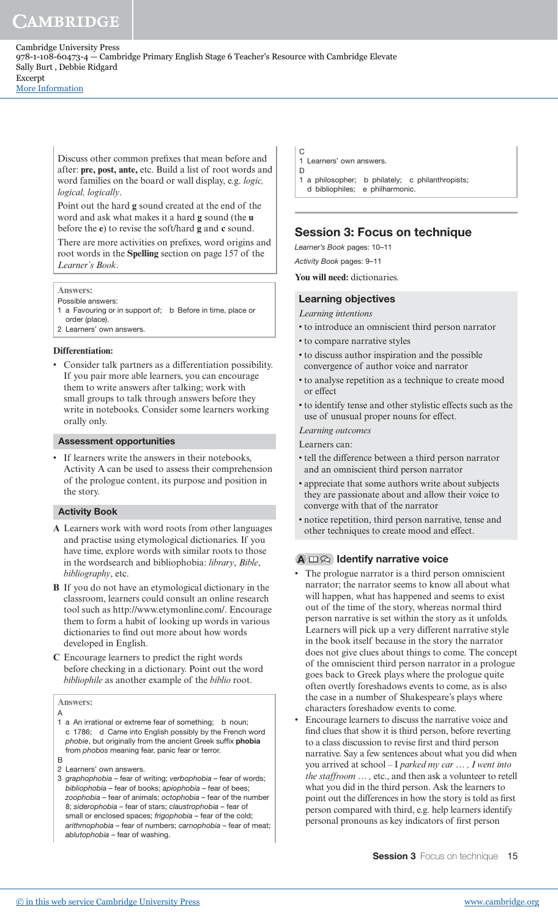[More Information](www.cambridge.org/9781108604734)

Discuss other common preixes that mean before and after: **pre, post, ante,** etc. Build a list of root words and word families on the board or wall display, e.g. *logic, logical, logically*.

Point out the hard **g** sound created at the end of the word and ask what makes it a hard **g** sound (the **u** before the **e**) to revise the soft/hard **g** and **c** sound.

There are more activities on prefixes, word origins and root words in the **Spelling** section on page 157 of the *Learner's Book*.

#### **Answers:**

Possible answers:

- 1 a Favouring or in support of; b Before in time, place or order (place).
- 2 Learners' own answers.

#### **Differentiation:**

• Consider talk partners as a differentiation possibility. If you pair more able learners, you can encourage them to write answers after talking; work with small groups to talk through answers before they write in notebooks. Consider some learners working orally only.

#### Assessment opportunities

If learners write the answers in their notebooks, Activity A can be used to assess their comprehension of the prologue content, its purpose and position in the story.

#### Activity Book

- **A** Learners work with word roots from other languages and practise using etymological dictionaries. If you have time, explore words with similar roots to those in the wordsearch and bibliophobia: *library*, *Bible*, *bibliography*, etc.
- **B** If you do not have an etymological dictionary in the classroom, learners could consult an online research tool such as http://www.etymonline.com/. Encourage them to form a habit of looking up words in various dictionaries to find out more about how words developed in English.
- **C** Encourage learners to predict the right words before checking in a dictionary. Point out the word *bibliophile* as another example of the *biblio* root.

#### **Answers:**

- A 1 a An irrational or extreme fear of something; b noun; c 1786; d Came into English possibly by the French word phobie, but originally from the ancient Greek suffix **phobia** from phobos meaning fear, panic fear or terror. B
- 2 Learners' own answers.
- 3 graphophobia fear of writing; verbophobia fear of words; bibliophobia – fear of books; apiophobia – fear of bees; zoophobia – fear of animals; octophobia – fear of the number 8; siderophobia – fear of stars; claustrophobia – fear of small or enclosed spaces; frigophobia – fear of the cold; arithmophobia – fear of numbers; carnophobia – fear of meat; ablutophobia – fear of washing.
- C 1 Learners' own answers.
- D 1 a philosopher; b philately; c philanthropists;
- d bibliophiles; e philharmonic.

## Session 3: Focus on technique

Learner's Book pages: 10–11

Activity Book pages: 9–11

**You will need:** dictionaries.

### Learning objectives

#### *Learning intentions*

- to introduce an omniscient third person narrator
- to compare narrative styles
- to discuss author inspiration and the possible convergence of author voice and narrator
- to analyse repetition as a technique to create mood or effect
- to identify tense and other stylistic effects such as the use of unusual proper nouns for effect.

*Learning outcomes*

- Learners can:
- tell the difference between a third person narrator and an omniscient third person narrator
- appreciate that some authors write about subjects they are passionate about and allow their voice to converge with that of the narrator
- notice repetition, third person narrative, tense and other techniques to create mood and effect.

### $\mathbf{A} \square \color{red} \widehat{\color{red} \times}$  Identify narrative voice

- The prologue narrator is a third person omniscient narrator; the narrator seems to know all about what will happen, what has happened and seems to exist out of the time of the story, whereas normal third person narrative is set within the story as it unfolds. Learners will pick up a very different narrative style in the book itself because in the story the narrator does not give clues about things to come. The concept of the omniscient third person narrator in a prologue goes back to Greek plays where the prologue quite often overtly foreshadows events to come, as is also the case in a number of Shakespeare's plays where characters foreshadow events to come.
- Encourage learners to discuss the narrative voice and find clues that show it is third person, before reverting to a class discussion to revise irst and third person narrative. Say a few sentences about what you did when you arrived at school – I *parked my car … , I went into the staffroom … ,* etc., and then ask a volunteer to retell what you did in the third person. Ask the learners to point out the differences in how the story is told as first person compared with third, e.g. help learners identify personal pronouns as key indicators of irst person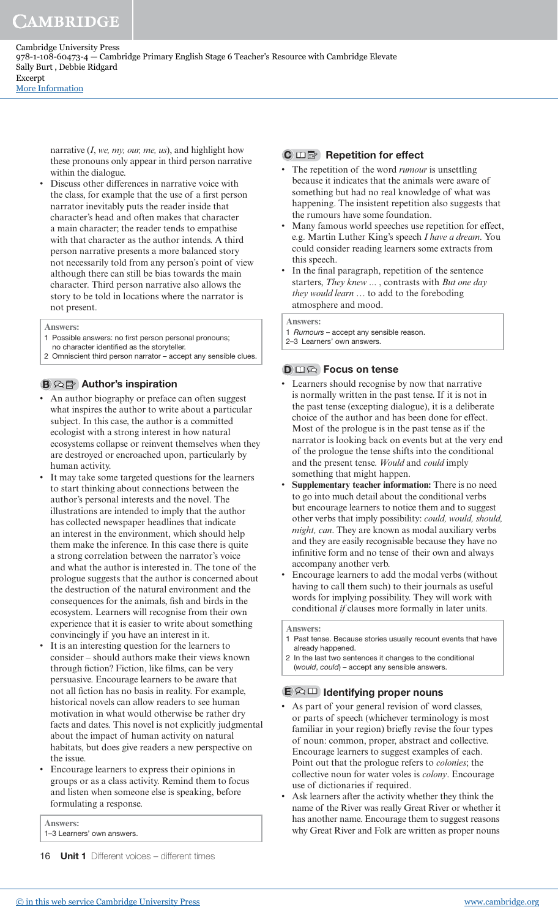narrative (*I*, *we, my, our, me, us*), and highlight how these pronouns only appear in third person narrative

within the dialogue. Discuss other differences in narrative voice with the class, for example that the use of a first person narrator inevitably puts the reader inside that character's head and often makes that character a main character; the reader tends to empathise with that character as the author intends. A third person narrative presents a more balanced story not necessarily told from any person's point of view although there can still be bias towards the main character. Third person narrative also allows the story to be told in locations where the narrator is not present.

#### **Answers:**

- 1 Possible answers: no first person personal pronouns:
- no character identified as the storyteller.
- 2 Omniscient third person narrator accept any sensible clues.

### $B \otimes \mathbb{B}$  Author's inspiration

- An author biography or preface can often suggest what inspires the author to write about a particular subject. In this case, the author is a committed ecologist with a strong interest in how natural ecosystems collapse or reinvent themselves when they are destroyed or encroached upon, particularly by human activity.
- It may take some targeted questions for the learners to start thinking about connections between the author's personal interests and the novel. The illustrations are intended to imply that the author has collected newspaper headlines that indicate an interest in the environment, which should help them make the inference. In this case there is quite a strong correlation between the narrator's voice and what the author is interested in. The tone of the prologue suggests that the author is concerned about the destruction of the natural environment and the consequences for the animals, fish and birds in the ecosystem. Learners will recognise from their own experience that it is easier to write about something convincingly if you have an interest in it.
- It is an interesting question for the learners to consider – should authors make their views known through fiction? Fiction, like films, can be very persuasive. Encourage learners to be aware that not all iction has no basis in reality. For example, historical novels can allow readers to see human motivation in what would otherwise be rather dry facts and dates. This novel is not explicitly judgmental about the impact of human activity on natural habitats, but does give readers a new perspective on the issue.
- Encourage learners to express their opinions in groups or as a class activity. Remind them to focus and listen when someone else is speaking, before formulating a response.

**Answers:**

1–3 Learners' own answers.

### $\mathbf{C} \square \square$  Repetition for effect

- The repetition of the word *rumour* is unsettling because it indicates that the animals were aware of something but had no real knowledge of what was happening. The insistent repetition also suggests that the rumours have some foundation.
- Many famous world speeches use repetition for effect, e.g. Martin Luther King's speech *I have a dream*. You could consider reading learners some extracts from this speech.
- In the final paragraph, repetition of the sentence starters, *They knew* ... , contrasts with *But one day they would learn …* to add to the foreboding atmosphere and mood.

**Answers:**

- 1 Rumours accept any sensible reason.
- 2–3 Learners' own answers.

#### D **m** $\odot$  Focus on tense

- Learners should recognise by now that narrative is normally written in the past tense. If it is not in the past tense (excepting dialogue), it is a deliberate choice of the author and has been done for effect. Most of the prologue is in the past tense as if the narrator is looking back on events but at the very end of the prologue the tense shifts into the conditional and the present tense. *Would* and *could* imply something that might happen.
- **Supplementary teacher information:** There is no need to go into much detail about the conditional verbs but encourage learners to notice them and to suggest other verbs that imply possibility: *could, would, should, might, can*. They are known as modal auxiliary verbs and they are easily recognisable because they have no infinitive form and no tense of their own and always accompany another verb.
- Encourage learners to add the modal verbs (without having to call them such) to their journals as useful words for implying possibility. They will work with conditional *if* clauses more formally in later units.

**Answers:**

- 1 Past tense. Because stories usually recount events that have already happened.
- 2 In the last two sentences it changes to the conditional (would, could) – accept any sensible answers.

## $\mathbf{E} \otimes \mathbf{I}$  Identifying proper nouns

- As part of your general revision of word classes, or parts of speech (whichever terminology is most familiar in your region) briefly revise the four types of noun: common, proper, abstract and collective. Encourage learners to suggest examples of each. Point out that the prologue refers to *colonies*; the collective noun for water voles is *colony*. Encourage use of dictionaries if required.
- Ask learners after the activity whether they think the name of the River was really Great River or whether it has another name. Encourage them to suggest reasons why Great River and Folk are written as proper nouns

<sup>16</sup> **Unit 1** Different voices - different times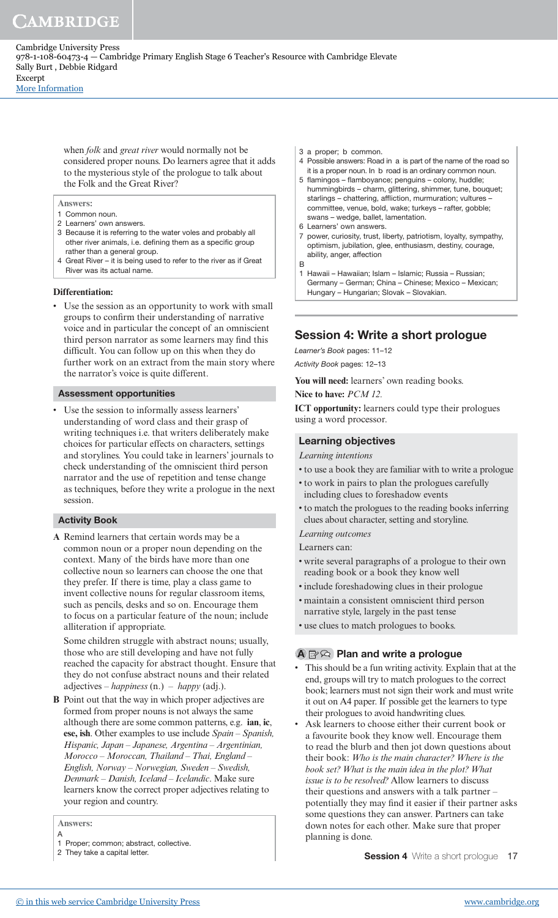[More Information](www.cambridge.org/9781108604734)

when *folk* and *great river* would normally not be considered proper nouns. Do learners agree that it adds to the mysterious style of the prologue to talk about the Folk and the Great River?

**Answers:**

- 1 Common noun.
- 2 Learners' own answers.
- 3 Because it is referring to the water voles and probably all other river animals, i.e. defining them as a specific group rather than a general group.
- 4 Great River it is being used to refer to the river as if Great River was its actual name.

#### **Differentiation:**

Use the session as an opportunity to work with small groups to conirm their understanding of narrative voice and in particular the concept of an omniscient third person narrator as some learners may find this dificult. You can follow up on this when they do further work on an extract from the main story where the narrator's voice is quite different.

#### Assessment opportunities

Use the session to informally assess learners' understanding of word class and their grasp of writing techniques i.e. that writers deliberately make choices for particular effects on characters, settings and storylines. You could take in learners' journals to check understanding of the omniscient third person narrator and the use of repetition and tense change as techniques, before they write a prologue in the next session.

### Activity Book

**A** Remind learners that certain words may be a common noun or a proper noun depending on the context. Many of the birds have more than one collective noun so learners can choose the one that they prefer. If there is time, play a class game to invent collective nouns for regular classroom items, such as pencils, desks and so on. Encourage them to focus on a particular feature of the noun; include alliteration if appropriate.

 Some children struggle with abstract nouns; usually, those who are still developing and have not fully reached the capacity for abstract thought. Ensure that they do not confuse abstract nouns and their related adjectives – *happiness* (n.) – *happy* (adj.).

**B** Point out that the way in which proper adjectives are formed from proper nouns is not always the same although there are some common patterns, e.g. **ian**, **ic**, **ese, ish**. Other examples to use include *Spain – Spanish, Hispanic, Japan – Japanese, Argentina – Argentinian, Morocco – Moroccan, Thailand – Thai, England – English, Norway – Norwegian, Sweden – Swedish, Denmark – Danish, Iceland – Icelandic*. Make sure learners know the correct proper adjectives relating to your region and country.

#### **Answers:** A

- 1 Proper; common; abstract, collective.
- 2 They take a capital letter.
- 3 a proper; b common.
- 4 Possible answers: Road in a is part of the name of the road so it is a proper noun. In b road is an ordinary common noun.
- 5 flamingos flamboyance; penguins colony, huddle; hummingbirds – charm, glittering, shimmer, tune, bouquet; starlings – chattering, afliction, murmuration; vultures – committee, venue, bold, wake; turkeys – rafter, gobble; swans – wedge, ballet, lamentation.
- 6 Learners' own answers.
- 7 power, curiosity, trust, liberty, patriotism, loyalty, sympathy, optimism, jubilation, glee, enthusiasm, destiny, courage, ability, anger, affection B
- 1 Hawaii Hawaiian; Islam Islamic; Russia Russian; Germany – German; China – Chinese; Mexico – Mexican; Hungary – Hungarian; Slovak – Slovakian.

## Session 4: Write a short prologue

Learner's Book pages: 11–12 Activity Book pages: 12–13

**You will need:** learners' own reading books.

**Nice to have:** *PCM 12.*

**ICT opportunity:** learners could type their prologues using a word processor.

### Learning objectives

#### *Learning intentions*

- to use a book they are familiar with to write a prologue
- to work in pairs to plan the prologues carefully including clues to foreshadow events
- to match the prologues to the reading books inferring clues about character, setting and storyline.

*Learning outcomes*

Learners can:

- write several paragraphs of a prologue to their own reading book or a book they know well
- include foreshadowing clues in their prologue
- maintain a consistent omniscient third person narrative style, largely in the past tense
- use clues to match prologues to books.

### $\mathbf{A} \boxtimes \otimes \mathbf{P}$  Plan and write a prologue

- This should be a fun writing activity. Explain that at the end, groups will try to match prologues to the correct book; learners must not sign their work and must write it out on A4 paper. If possible get the learners to type their prologues to avoid handwriting clues.
- Ask learners to choose either their current book or a favourite book they know well. Encourage them to read the blurb and then jot down questions about their book: *Who is the main character? Where is the book set? What is the main idea in the plot? What issue is to be resolved?* Allow learners to discuss their questions and answers with a talk partner – potentially they may find it easier if their partner asks some questions they can answer. Partners can take down notes for each other. Make sure that proper planning is done.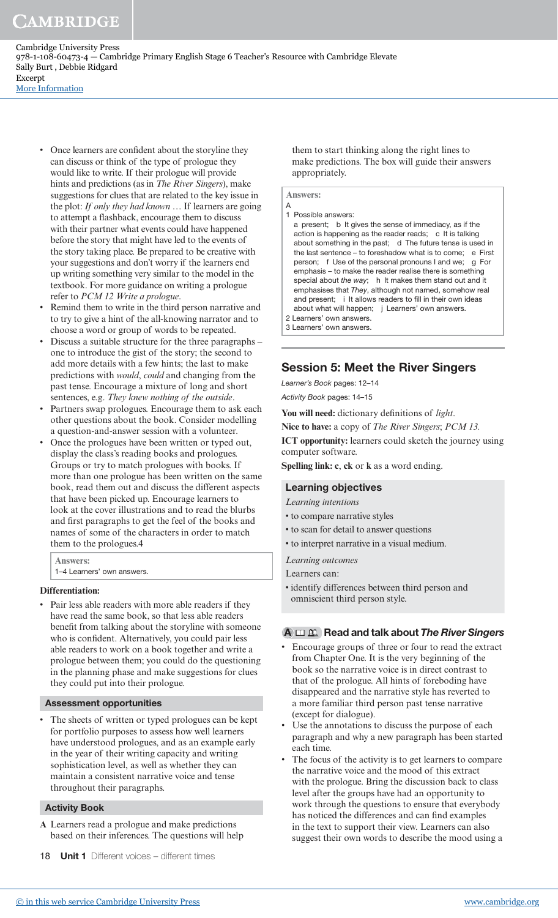• Once learners are confident about the storyline they can discuss or think of the type of prologue they would like to write. If their prologue will provide hints and predictions (as in *The River Singers*), make suggestions for clues that are related to the key issue in the plot: *If only they had known …* If learners are going to attempt a flashback, encourage them to discuss with their partner what events could have happened before the story that might have led to the events of the story taking place. Be prepared to be creative with your suggestions and don't worry if the learners end up writing something very similar to the model in the textbook. For more guidance on writing a prologue refer to *PCM 12 Write a prologue*.

- Remind them to write in the third person narrative and to try to give a hint of the all-knowing narrator and to choose a word or group of words to be repeated.
- Discuss a suitable structure for the three paragraphs one to introduce the gist of the story; the second to add more details with a few hints; the last to make predictions with *would*, *could* and changing from the past tense. Encourage a mixture of long and short sentences, e.g. *They knew nothing of the outside*.
- Partners swap prologues. Encourage them to ask each other questions about the book. Consider modelling a question-and-answer session with a volunteer.
- Once the prologues have been written or typed out, display the class's reading books and prologues. Groups or try to match prologues with books. If more than one prologue has been written on the same book, read them out and discuss the different aspects that have been picked up. Encourage learners to look at the cover illustrations and to read the blurbs and first paragraphs to get the feel of the books and names of some of the characters in order to match them to the prologues.4

**Answers:** 

1–4 Learners' own answers.

#### **Differentiation:**

Pair less able readers with more able readers if they have read the same book, so that less able readers benefit from talking about the storyline with someone who is confident. Alternatively, you could pair less able readers to work on a book together and write a prologue between them; you could do the questioning in the planning phase and make suggestions for clues they could put into their prologue.

#### Assessment opportunities

The sheets of written or typed prologues can be kept for portfolio purposes to assess how well learners have understood prologues, and as an example early in the year of their writing capacity and writing sophistication level, as well as whether they can maintain a consistent narrative voice and tense throughout their paragraphs.

#### Activity Book

- **A** Learners read a prologue and make predictions based on their inferences. The questions will help
- 18 **Unit 1** Different voices different times

them to start thinking along the right lines to make predictions. The box will guide their answers appropriately.

#### **Answers:**

- A 1 Possible answers:
- a present; b It gives the sense of immediacy, as if the action is happening as the reader reads; c It is talking about something in the past; d The future tense is used in the last sentence - to foreshadow what is to come; e First person; f Use of the personal pronouns I and we; g For emphasis – to make the reader realise there is something special about the way; h It makes them stand out and it emphasises that They, although not named, somehow real and present; i It allows readers to fill in their own ideas about what will happen; j Learners' own answers.
- 2 Learners' own answers. 3 Learners' own answers.

### Session 5: Meet the River Singers

Learner's Book pages: 12–14

Activity Book pages: 14–15

You will need: dictionary definitions of *light*.

**Nice to have:** a copy of *The River Singers*; *PCM 13.*

**ICT opportunity:** learners could sketch the journey using computer software.

**Spelling link: c**, **ck** or **k** as a word ending.

#### Learning objectives

*Learning intentions*

- to compare narrative styles
- to scan for detail to answer questions
- to interpret narrative in a visual medium.

*Learning outcomes*

- Learners can:
- identify differences between third person and omniscient third person style.

#### $A \n \Box \n \mathfrak{L}$  Read and talk about The River Singers

- Encourage groups of three or four to read the extract from Chapter One. It is the very beginning of the book so the narrative voice is in direct contrast to that of the prologue. All hints of foreboding have disappeared and the narrative style has reverted to a more familiar third person past tense narrative (except for dialogue).
- Use the annotations to discuss the purpose of each paragraph and why a new paragraph has been started each time.
- The focus of the activity is to get learners to compare the narrative voice and the mood of this extract with the prologue. Bring the discussion back to class level after the groups have had an opportunity to work through the questions to ensure that everybody has noticed the differences and can find examples in the text to support their view. Learners can also suggest their own words to describe the mood using a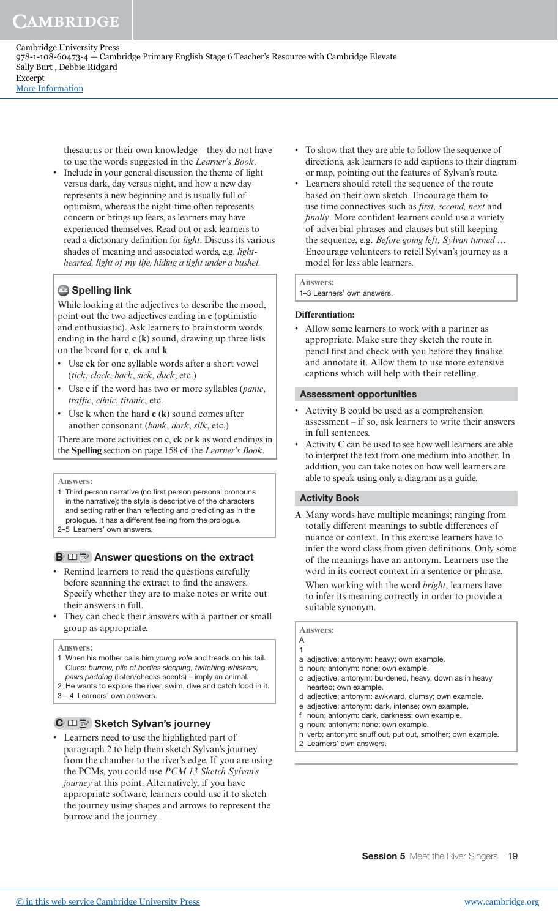> thesaurus or their own knowledge – they do not have to use the words suggested in the *Learner's Book*.

• Include in your general discussion the theme of light versus dark, day versus night, and how a new day represents a new beginning and is usually full of optimism, whereas the night-time often represents concern or brings up fears, as learners may have experienced themselves. Read out or ask learners to read a dictionary deinition for *light*. Discuss its various shades of meaning and associated words, e.g. *lighthearted, light of my life, hiding a light under a bushel*.

## **Az Spelling link**

While looking at the adjectives to describe the mood, point out the two adjectives ending in **c** (optimistic and enthusiastic). Ask learners to brainstorm words ending in the hard **c** (**k**) sound, drawing up three lists on the board for **c**, **ck** and **k**

- Use **ck** for one syllable words after a short vowel (*tick*, *clock*, *back*, *sick*, *duck*, etc.)
- Use **c** if the word has two or more syllables (*panic*, *trafic*, *clinic*, *titanic*, etc.
- Use **k** when the hard **c** (**k**) sound comes after another consonant (*bank*, *dark*, *silk*, etc.)

There are more activities on **c**, **ck** or **k** as word endings in the **Spelling** section on page 158 of the *Learner's Book*.

#### **Answers:**

- 1 Third person narrative (no first person personal pronouns in the narrative); the style is descriptive of the characters and setting rather than relecting and predicting as in the prologue. It has a different feeling from the prologue.
- 2–5 Learners' own answers.

### $\mathbf{B} \square$   $\mathbb{B}$  Answer questions on the extract

- Remind learners to read the questions carefully before scanning the extract to find the answers. Specify whether they are to make notes or write out their answers in full.
- They can check their answers with a partner or small group as appropriate.

#### **Answers:**

- 1 When his mother calls him young vole and treads on his tail. Clues: burrow, pile of bodies sleeping, twitching whiskers, paws padding (listen/checks scents) – imply an animal.
- 2 He wants to explore the river, swim, dive and catch food in it.
- 3 4 Learners' own answers.

## $\mathbf{C} \boxplus \mathbb{F}$  Sketch Sylvan's journey

• Learners need to use the highlighted part of paragraph 2 to help them sketch Sylvan's journey from the chamber to the river's edge. If you are using the PCMs, you could use *PCM 13 Sketch Sylvan's journey* at this point. Alternatively, if you have appropriate software, learners could use it to sketch the journey using shapes and arrows to represent the burrow and the journey.

- To show that they are able to follow the sequence of directions, ask learners to add captions to their diagram or map, pointing out the features of Sylvan's route.
- Learners should retell the sequence of the route based on their own sketch. Encourage them to use time connectives such as *irst, second, next* and *finally*. More confident learners could use a variety of adverbial phrases and clauses but still keeping the sequence, e.g. *Before going left, Sylvan turned …* Encourage volunteers to retell Sylvan's journey as a model for less able learners.

#### **Answers:**

1–3 Learners' own answers.

#### **Differentiation:**

• Allow some learners to work with a partner as appropriate. Make sure they sketch the route in pencil first and check with you before they finalise and annotate it. Allow them to use more extensive captions which will help with their retelling.

#### Assessment opportunities

- Activity B could be used as a comprehension assessment – if so, ask learners to write their answers in full sentences.
- Activity C can be used to see how well learners are able to interpret the text from one medium into another. In addition, you can take notes on how well learners are able to speak using only a diagram as a guide.

#### Activity Book

**A** Many words have multiple meanings; ranging from totally different meanings to subtle differences of nuance or context. In this exercise learners have to infer the word class from given definitions. Only some of the meanings have an antonym. Learners use the word in its correct context in a sentence or phrase. When working with the word *bright*, learners have to infer its meaning correctly in order to provide a suitable synonym.

#### **Answers:**  A

1

- 
- a adjective; antonym: heavy; own example.
- b noun; antonym: none; own example.
- c adjective; antonym: burdened, heavy, down as in heavy hearted; own example.
- d adjective; antonym: awkward, clumsy; own example.
- e adjective; antonym: dark, intense; own example.
- f noun; antonym: dark, darkness; own example.
- g noun; antonym: none; own example. verb; antonym: snuff out, put out, smother; own example.
- 2 Learners' own answers.